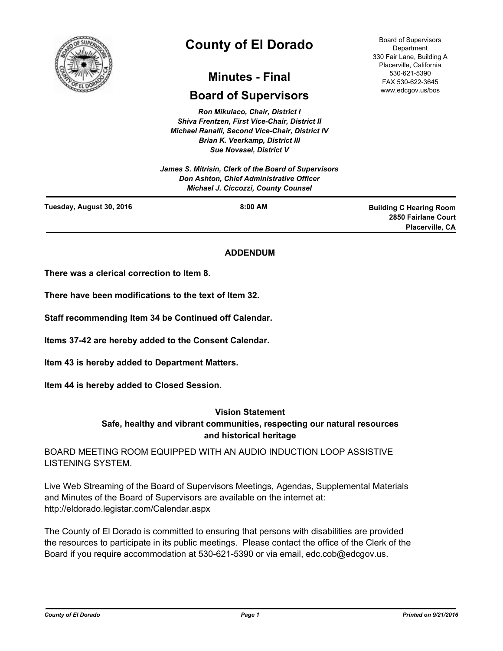

# **County of El Dorado**

## **Minutes - Final**

## **Board of Supervisors**

*Ron Mikulaco, Chair, District I Shiva Frentzen, First Vice-Chair, District II Michael Ranalli, Second Vice-Chair, District IV Brian K. Veerkamp, District III Sue Novasel, District V* 

*James S. Mitrisin, Clerk of the Board of Supervisors Don Ashton, Chief Administrative Officer Michael J. Ciccozzi, County Counsel*

Board of Supervisors **Department** 330 Fair Lane, Building A Placerville, California 530-621-5390 FAX 530-622-3645 www.edcgov.us/bos

| Tuesday, August 30, 2016 | 8:00 AM | <b>Building C Hearing Room</b> |
|--------------------------|---------|--------------------------------|
|                          |         | 2850 Fairlane Court            |
|                          |         | <b>Placerville, CA</b>         |
|                          |         |                                |

## **ADDENDUM**

**There was a clerical correction to Item 8.**

**There have been modifications to the text of Item 32.**

**Staff recommending Item 34 be Continued off Calendar.**

**Items 37-42 are hereby added to the Consent Calendar.**

**Item 43 is hereby added to Department Matters.**

**Item 44 is hereby added to Closed Session.**

#### **Vision Statement**

## **Safe, healthy and vibrant communities, respecting our natural resources and historical heritage**

BOARD MEETING ROOM EQUIPPED WITH AN AUDIO INDUCTION LOOP ASSISTIVE LISTENING SYSTEM.

Live Web Streaming of the Board of Supervisors Meetings, Agendas, Supplemental Materials and Minutes of the Board of Supervisors are available on the internet at: http://eldorado.legistar.com/Calendar.aspx

The County of El Dorado is committed to ensuring that persons with disabilities are provided the resources to participate in its public meetings. Please contact the office of the Clerk of the Board if you require accommodation at 530-621-5390 or via email, edc.cob@edcgov.us.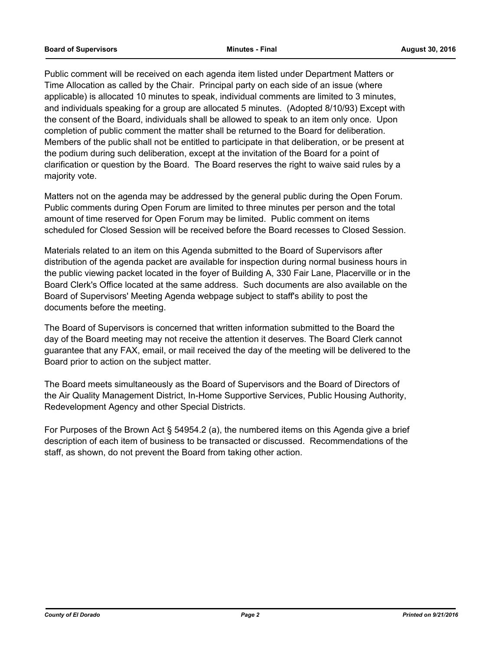Public comment will be received on each agenda item listed under Department Matters or Time Allocation as called by the Chair. Principal party on each side of an issue (where applicable) is allocated 10 minutes to speak, individual comments are limited to 3 minutes, and individuals speaking for a group are allocated 5 minutes. (Adopted 8/10/93) Except with the consent of the Board, individuals shall be allowed to speak to an item only once. Upon completion of public comment the matter shall be returned to the Board for deliberation. Members of the public shall not be entitled to participate in that deliberation, or be present at the podium during such deliberation, except at the invitation of the Board for a point of clarification or question by the Board. The Board reserves the right to waive said rules by a majority vote.

Matters not on the agenda may be addressed by the general public during the Open Forum. Public comments during Open Forum are limited to three minutes per person and the total amount of time reserved for Open Forum may be limited. Public comment on items scheduled for Closed Session will be received before the Board recesses to Closed Session.

Materials related to an item on this Agenda submitted to the Board of Supervisors after distribution of the agenda packet are available for inspection during normal business hours in the public viewing packet located in the foyer of Building A, 330 Fair Lane, Placerville or in the Board Clerk's Office located at the same address. Such documents are also available on the Board of Supervisors' Meeting Agenda webpage subject to staff's ability to post the documents before the meeting.

The Board of Supervisors is concerned that written information submitted to the Board the day of the Board meeting may not receive the attention it deserves. The Board Clerk cannot guarantee that any FAX, email, or mail received the day of the meeting will be delivered to the Board prior to action on the subject matter.

The Board meets simultaneously as the Board of Supervisors and the Board of Directors of the Air Quality Management District, In-Home Supportive Services, Public Housing Authority, Redevelopment Agency and other Special Districts.

For Purposes of the Brown Act § 54954.2 (a), the numbered items on this Agenda give a brief description of each item of business to be transacted or discussed. Recommendations of the staff, as shown, do not prevent the Board from taking other action.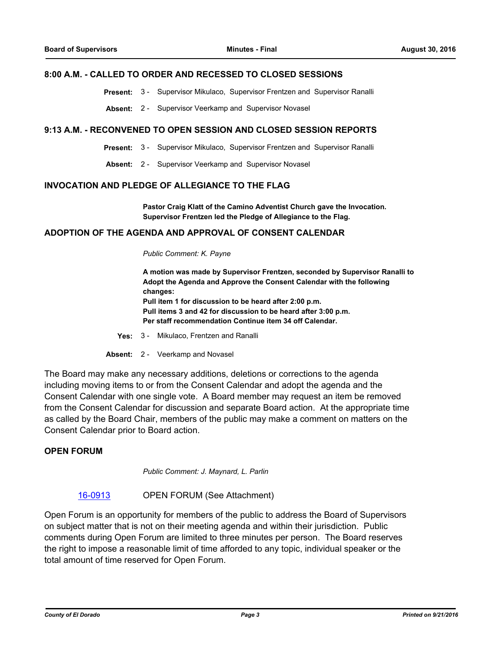#### **8:00 A.M. - CALLED TO ORDER AND RECESSED TO CLOSED SESSIONS**

**Present:** 3 - Supervisor Mikulaco, Supervisor Frentzen and Supervisor Ranalli

**Absent:** 2 - Supervisor Veerkamp and Supervisor Novasel

#### **9:13 A.M. - RECONVENED TO OPEN SESSION AND CLOSED SESSION REPORTS**

- **Present:** 3 Supervisor Mikulaco, Supervisor Frentzen and Supervisor Ranalli
- **Absent:** 2 Supervisor Veerkamp and Supervisor Novasel

#### **INVOCATION AND PLEDGE OF ALLEGIANCE TO THE FLAG**

**Pastor Craig Klatt of the Camino Adventist Church gave the Invocation. Supervisor Frentzen led the Pledge of Allegiance to the Flag.**

#### **ADOPTION OF THE AGENDA AND APPROVAL OF CONSENT CALENDAR**

*Public Comment: K. Payne*

**A motion was made by Supervisor Frentzen, seconded by Supervisor Ranalli to Adopt the Agenda and Approve the Consent Calendar with the following changes: Pull item 1 for discussion to be heard after 2:00 p.m. Pull items 3 and 42 for discussion to be heard after 3:00 p.m. Per staff recommendation Continue item 34 off Calendar.**

- **Yes:** 3 Mikulaco, Frentzen and Ranalli
- **Absent:** 2 Veerkamp and Novasel

The Board may make any necessary additions, deletions or corrections to the agenda including moving items to or from the Consent Calendar and adopt the agenda and the Consent Calendar with one single vote. A Board member may request an item be removed from the Consent Calendar for discussion and separate Board action. At the appropriate time as called by the Board Chair, members of the public may make a comment on matters on the Consent Calendar prior to Board action.

#### **OPEN FORUM**

*Public Comment: J. Maynard, L. Parlin*

#### [16-0913](http://eldorado.legistar.com/gateway.aspx?m=l&id=/matter.aspx?key=21571) OPEN FORUM (See Attachment)

Open Forum is an opportunity for members of the public to address the Board of Supervisors on subject matter that is not on their meeting agenda and within their jurisdiction. Public comments during Open Forum are limited to three minutes per person. The Board reserves the right to impose a reasonable limit of time afforded to any topic, individual speaker or the total amount of time reserved for Open Forum.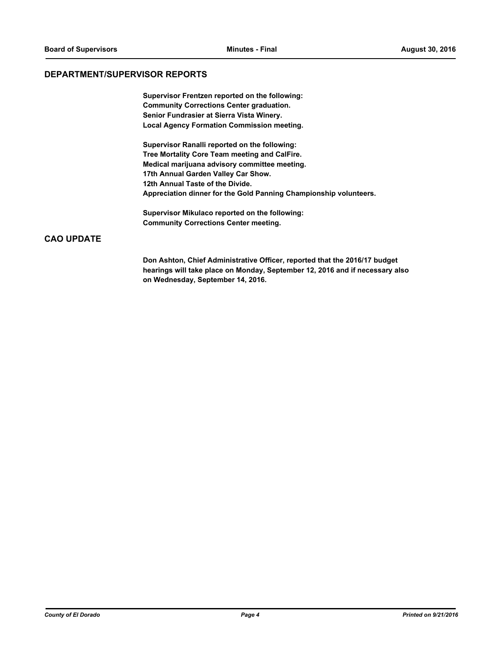## **DEPARTMENT/SUPERVISOR REPORTS**

**Supervisor Frentzen reported on the following: Community Corrections Center graduation. Senior Fundrasier at Sierra Vista Winery. Local Agency Formation Commission meeting.**

**Supervisor Ranalli reported on the following: Tree Mortality Core Team meeting and CalFire. Medical marijuana advisory committee meeting. 17th Annual Garden Valley Car Show. 12th Annual Taste of the Divide. Appreciation dinner for the Gold Panning Championship volunteers.** 

**Supervisor Mikulaco reported on the following: Community Corrections Center meeting.**

## **CAO UPDATE**

**Don Ashton, Chief Administrative Officer, reported that the 2016/17 budget hearings will take place on Monday, September 12, 2016 and if necessary also on Wednesday, September 14, 2016.**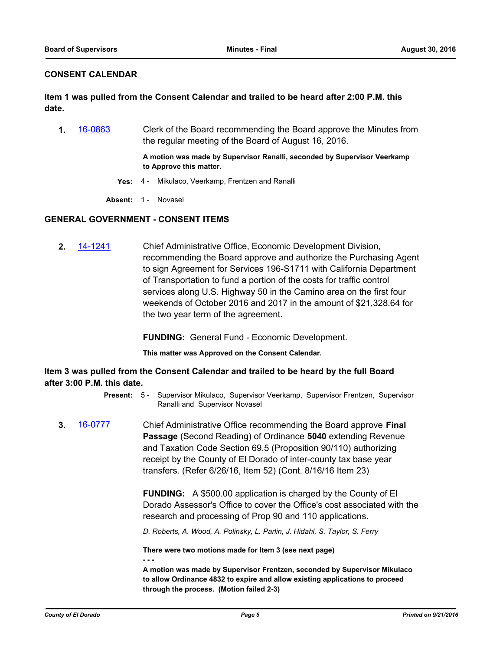## **CONSENT CALENDAR**

**Item 1 was pulled from the Consent Calendar and trailed to be heard after 2:00 P.M. this date.**

**1.** [16-0863](http://eldorado.legistar.com/gateway.aspx?m=l&id=/matter.aspx?key=21521) Clerk of the Board recommending the Board approve the Minutes from the regular meeting of the Board of August 16, 2016.

> **A motion was made by Supervisor Ranalli, seconded by Supervisor Veerkamp to Approve this matter.**

- **Yes:** 4 Mikulaco, Veerkamp, Frentzen and Ranalli
- **Absent:** 1 Novasel

## **GENERAL GOVERNMENT - CONSENT ITEMS**

**2.** [14-1241](http://eldorado.legistar.com/gateway.aspx?m=l&id=/matter.aspx?key=18725) Chief Administrative Office, Economic Development Division, recommending the Board approve and authorize the Purchasing Agent to sign Agreement for Services 196-S1711 with California Department of Transportation to fund a portion of the costs for traffic control services along U.S. Highway 50 in the Camino area on the first four weekends of October 2016 and 2017 in the amount of \$21,328.64 for the two year term of the agreement.

**FUNDING:** General Fund - Economic Development.

**This matter was Approved on the Consent Calendar.**

**Item 3 was pulled from the Consent Calendar and trailed to be heard by the full Board after 3:00 P.M. this date.**

- Present: 5 Supervisor Mikulaco, Supervisor Veerkamp, Supervisor Frentzen, Supervisor Ranalli and Supervisor Novasel
- **3.** [16-0777](http://eldorado.legistar.com/gateway.aspx?m=l&id=/matter.aspx?key=21435) Chief Administrative Office recommending the Board approve **Final Passage** (Second Reading) of Ordinance **5040** extending Revenue and Taxation Code Section 69.5 (Proposition 90/110) authorizing receipt by the County of El Dorado of inter-county tax base year transfers. (Refer 6/26/16, Item 52) (Cont. 8/16/16 Item 23)

**FUNDING:** A \$500.00 application is charged by the County of El Dorado Assessor's Office to cover the Office's cost associated with the research and processing of Prop 90 and 110 applications.

*D. Roberts, A. Wood, A. Polinsky, L. Parlin, J. Hidahl, S. Taylor, S. Ferry*

**There were two motions made for Item 3 (see next page) - - -**

**A motion was made by Supervisor Frentzen, seconded by Supervisor Mikulaco to allow Ordinance 4832 to expire and allow existing applications to proceed through the process. (Motion failed 2-3)**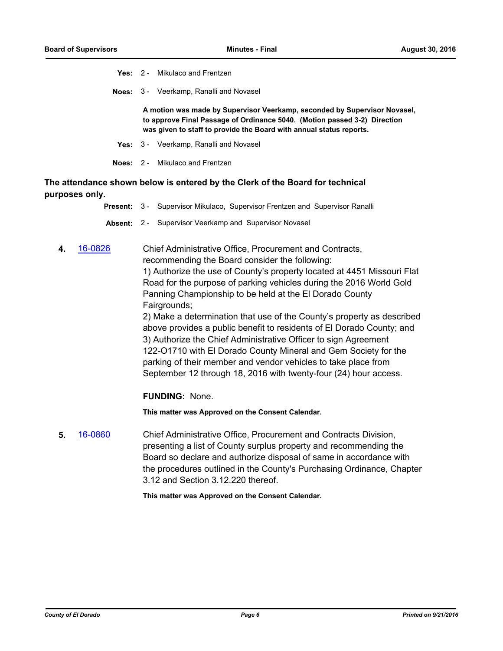- **Yes:** 2 Mikulaco and Frentzen
- **Noes:** 3 Veerkamp, Ranalli and Novasel

**A motion was made by Supervisor Veerkamp, seconded by Supervisor Novasel, to approve Final Passage of Ordinance 5040. (Motion passed 3-2) Direction was given to staff to provide the Board with annual status reports.**

- **Yes:** 3 Veerkamp, Ranalli and Novasel
- **Noes:** 2 Mikulaco and Frentzen

**The attendance shown below is entered by the Clerk of the Board for technical purposes only.**

- **Present:** 3 Supervisor Mikulaco, Supervisor Frentzen and Supervisor Ranalli
- **Absent:** 2 Supervisor Veerkamp and Supervisor Novasel
- **4.** [16-0826](http://eldorado.legistar.com/gateway.aspx?m=l&id=/matter.aspx?key=21484) Chief Administrative Office, Procurement and Contracts, recommending the Board consider the following: 1) Authorize the use of County's property located at 4451 Missouri Flat Road for the purpose of parking vehicles during the 2016 World Gold Panning Championship to be held at the El Dorado County Fairgrounds;

2) Make a determination that use of the County's property as described above provides a public benefit to residents of El Dorado County; and 3) Authorize the Chief Administrative Officer to sign Agreement 122-O1710 with El Dorado County Mineral and Gem Society for the parking of their member and vendor vehicles to take place from September 12 through 18, 2016 with twenty-four (24) hour access.

**FUNDING:** None.

**This matter was Approved on the Consent Calendar.**

**5.** [16-0860](http://eldorado.legistar.com/gateway.aspx?m=l&id=/matter.aspx?key=21518) Chief Administrative Office, Procurement and Contracts Division, presenting a list of County surplus property and recommending the Board so declare and authorize disposal of same in accordance with the procedures outlined in the County's Purchasing Ordinance, Chapter 3.12 and Section 3.12.220 thereof.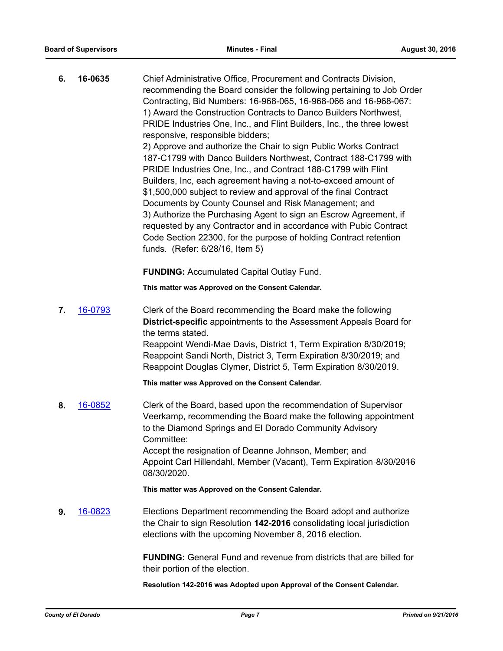| 6. | 16-0635 | Chief Administrative Office, Procurement and Contracts Division,<br>recommending the Board consider the following pertaining to Job Order<br>Contracting, Bid Numbers: 16-968-065, 16-968-066 and 16-968-067:<br>1) Award the Construction Contracts to Danco Builders Northwest,<br>PRIDE Industries One, Inc., and Flint Builders, Inc., the three lowest<br>responsive, responsible bidders;<br>2) Approve and authorize the Chair to sign Public Works Contract<br>187-C1799 with Danco Builders Northwest, Contract 188-C1799 with<br>PRIDE Industries One, Inc., and Contract 188-C1799 with Flint<br>Builders, Inc, each agreement having a not-to-exceed amount of<br>\$1,500,000 subject to review and approval of the final Contract<br>Documents by County Counsel and Risk Management; and<br>3) Authorize the Purchasing Agent to sign an Escrow Agreement, if<br>requested by any Contractor and in accordance with Pubic Contract<br>Code Section 22300, for the purpose of holding Contract retention<br>funds. (Refer: 6/28/16, Item 5) |
|----|---------|----------------------------------------------------------------------------------------------------------------------------------------------------------------------------------------------------------------------------------------------------------------------------------------------------------------------------------------------------------------------------------------------------------------------------------------------------------------------------------------------------------------------------------------------------------------------------------------------------------------------------------------------------------------------------------------------------------------------------------------------------------------------------------------------------------------------------------------------------------------------------------------------------------------------------------------------------------------------------------------------------------------------------------------------------------|
|    |         | <b>FUNDING: Accumulated Capital Outlay Fund.</b>                                                                                                                                                                                                                                                                                                                                                                                                                                                                                                                                                                                                                                                                                                                                                                                                                                                                                                                                                                                                         |
|    |         | This matter was Approved on the Consent Calendar.                                                                                                                                                                                                                                                                                                                                                                                                                                                                                                                                                                                                                                                                                                                                                                                                                                                                                                                                                                                                        |
| 7. | 16-0793 | Clerk of the Board recommending the Board make the following<br>District-specific appointments to the Assessment Appeals Board for<br>the terms stated.<br>Reappoint Wendi-Mae Davis, District 1, Term Expiration 8/30/2019;<br>Reappoint Sandi North, District 3, Term Expiration 8/30/2019; and<br>Reappoint Douglas Clymer, District 5, Term Expiration 8/30/2019.<br>This matter was Approved on the Consent Calendar.                                                                                                                                                                                                                                                                                                                                                                                                                                                                                                                                                                                                                               |
| 8. | 16-0852 | Clerk of the Board, based upon the recommendation of Supervisor<br>Veerkamp, recommending the Board make the following appointment<br>to the Diamond Springs and El Dorado Community Advisory<br>Committee:<br>Accept the resignation of Deanne Johnson, Member; and<br>Appoint Carl Hillendahl, Member (Vacant), Term Expiration-8/30/2016<br>08/30/2020.                                                                                                                                                                                                                                                                                                                                                                                                                                                                                                                                                                                                                                                                                               |
|    |         | This matter was Approved on the Consent Calendar.                                                                                                                                                                                                                                                                                                                                                                                                                                                                                                                                                                                                                                                                                                                                                                                                                                                                                                                                                                                                        |
| 9. | 16-0823 | Elections Department recommending the Board adopt and authorize<br>the Chair to sign Resolution 142-2016 consolidating local jurisdiction<br>elections with the upcoming November 8, 2016 election.                                                                                                                                                                                                                                                                                                                                                                                                                                                                                                                                                                                                                                                                                                                                                                                                                                                      |
|    |         | <b>FUNDING:</b> General Fund and revenue from districts that are billed for<br>their portion of the election.                                                                                                                                                                                                                                                                                                                                                                                                                                                                                                                                                                                                                                                                                                                                                                                                                                                                                                                                            |

**Resolution 142-2016 was Adopted upon Approval of the Consent Calendar.**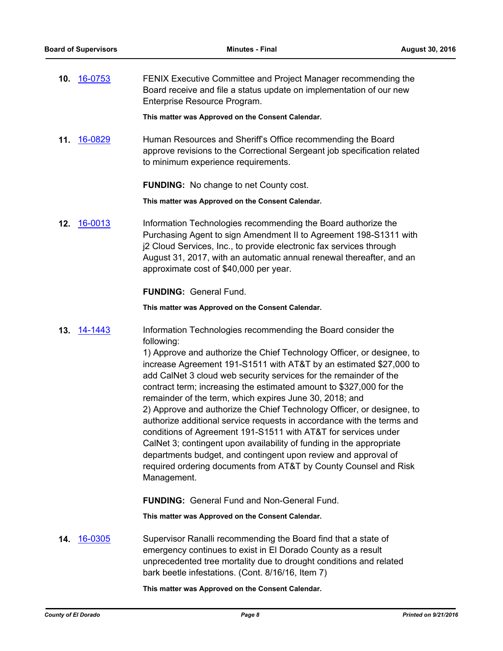**10.** [16-0753](http://eldorado.legistar.com/gateway.aspx?m=l&id=/matter.aspx?key=21411) FENIX Executive Committee and Project Manager recommending the Board receive and file a status update on implementation of our new Enterprise Resource Program.

**This matter was Approved on the Consent Calendar.**

**11.** [16-0829](http://eldorado.legistar.com/gateway.aspx?m=l&id=/matter.aspx?key=21487) Human Resources and Sheriff's Office recommending the Board approve revisions to the Correctional Sergeant job specification related to minimum experience requirements.

**FUNDING:** No change to net County cost.

**This matter was Approved on the Consent Calendar.**

**12.** [16-0013](http://eldorado.legistar.com/gateway.aspx?m=l&id=/matter.aspx?key=20669) Information Technologies recommending the Board authorize the Purchasing Agent to sign Amendment II to Agreement 198-S1311 with j2 Cloud Services, Inc., to provide electronic fax services through August 31, 2017, with an automatic annual renewal thereafter, and an approximate cost of \$40,000 per year.

**FUNDING:** General Fund.

**This matter was Approved on the Consent Calendar.**

**13.** [14-1443](http://eldorado.legistar.com/gateway.aspx?m=l&id=/matter.aspx?key=18927) Information Technologies recommending the Board consider the following:

> 1) Approve and authorize the Chief Technology Officer, or designee, to increase Agreement 191-S1511 with AT&T by an estimated \$27,000 to add CalNet 3 cloud web security services for the remainder of the contract term; increasing the estimated amount to \$327,000 for the remainder of the term, which expires June 30, 2018; and 2) Approve and authorize the Chief Technology Officer, or designee, to authorize additional service requests in accordance with the terms and conditions of Agreement 191-S1511 with AT&T for services under CalNet 3; contingent upon availability of funding in the appropriate departments budget, and contingent upon review and approval of required ordering documents from AT&T by County Counsel and Risk Management.

**FUNDING:** General Fund and Non-General Fund.

**This matter was Approved on the Consent Calendar.**

**14.** [16-0305](http://eldorado.legistar.com/gateway.aspx?m=l&id=/matter.aspx?key=20961) Supervisor Ranalli recommending the Board find that a state of emergency continues to exist in El Dorado County as a result unprecedented tree mortality due to drought conditions and related bark beetle infestations. (Cont. 8/16/16, Item 7)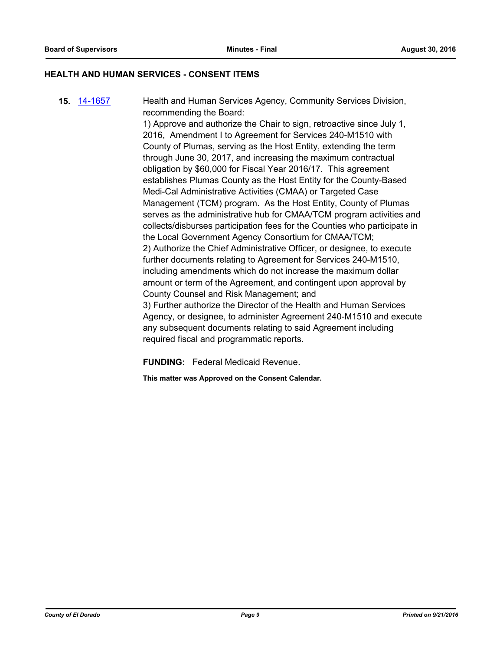#### **HEALTH AND HUMAN SERVICES - CONSENT ITEMS**

**15.** [14-1657](http://eldorado.legistar.com/gateway.aspx?m=l&id=/matter.aspx?key=19146) Health and Human Services Agency, Community Services Division, recommending the Board:

1) Approve and authorize the Chair to sign, retroactive since July 1, 2016, Amendment I to Agreement for Services 240-M1510 with County of Plumas, serving as the Host Entity, extending the term through June 30, 2017, and increasing the maximum contractual obligation by \$60,000 for Fiscal Year 2016/17. This agreement establishes Plumas County as the Host Entity for the County-Based Medi-Cal Administrative Activities (CMAA) or Targeted Case Management (TCM) program. As the Host Entity, County of Plumas serves as the administrative hub for CMAA/TCM program activities and collects/disburses participation fees for the Counties who participate in the Local Government Agency Consortium for CMAA/TCM; 2) Authorize the Chief Administrative Officer, or designee, to execute further documents relating to Agreement for Services 240-M1510, including amendments which do not increase the maximum dollar amount or term of the Agreement, and contingent upon approval by County Counsel and Risk Management; and 3) Further authorize the Director of the Health and Human Services Agency, or designee, to administer Agreement 240-M1510 and execute any subsequent documents relating to said Agreement including required fiscal and programmatic reports.

**FUNDING:** Federal Medicaid Revenue.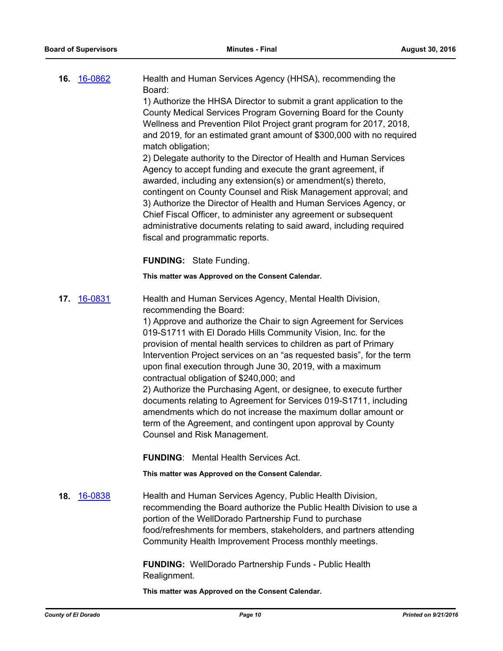| 16. 16-0862 | Health and Human Services Agency (HHSA), recommending the           |
|-------------|---------------------------------------------------------------------|
|             | Board:                                                              |
|             | 1) Authorize the HHSA Director to submit a grant application to the |
|             | County Medical Services Program Governing Board for the County      |

Wellness and Prevention Pilot Project grant program for 2017, 2018, and 2019, for an estimated grant amount of \$300,000 with no required match obligation;

2) Delegate authority to the Director of Health and Human Services Agency to accept funding and execute the grant agreement, if awarded, including any extension(s) or amendment(s) thereto, contingent on County Counsel and Risk Management approval; and 3) Authorize the Director of Health and Human Services Agency, or Chief Fiscal Officer, to administer any agreement or subsequent administrative documents relating to said award, including required fiscal and programmatic reports.

**FUNDING:** State Funding.

**This matter was Approved on the Consent Calendar.**

**17.** [16-0831](http://eldorado.legistar.com/gateway.aspx?m=l&id=/matter.aspx?key=21489) Health and Human Services Agency, Mental Health Division, recommending the Board:

> 1) Approve and authorize the Chair to sign Agreement for Services 019-S1711 with El Dorado Hills Community Vision, Inc. for the provision of mental health services to children as part of Primary Intervention Project services on an "as requested basis", for the term upon final execution through June 30, 2019, with a maximum contractual obligation of \$240,000; and

> 2) Authorize the Purchasing Agent, or designee, to execute further documents relating to Agreement for Services 019-S1711, including amendments which do not increase the maximum dollar amount or term of the Agreement, and contingent upon approval by County Counsel and Risk Management.

**FUNDING**: Mental Health Services Act.

**This matter was Approved on the Consent Calendar.**

**18.** [16-0838](http://eldorado.legistar.com/gateway.aspx?m=l&id=/matter.aspx?key=21496) Health and Human Services Agency, Public Health Division, recommending the Board authorize the Public Health Division to use a portion of the WellDorado Partnership Fund to purchase food/refreshments for members, stakeholders, and partners attending Community Health Improvement Process monthly meetings.

> **FUNDING:** WellDorado Partnership Funds - Public Health Realignment.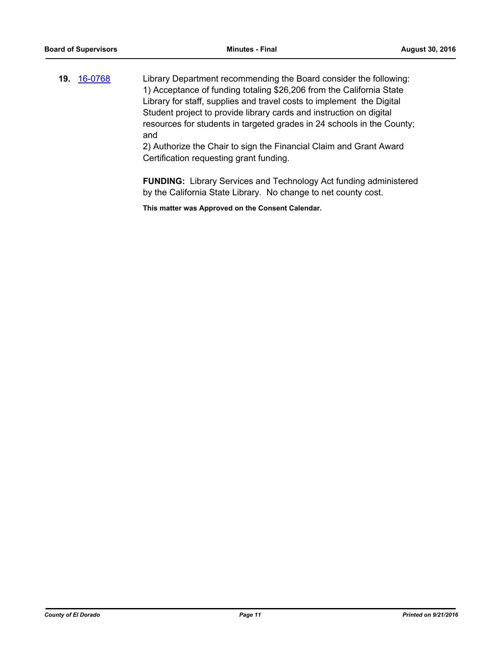**19.** [16-0768](http://eldorado.legistar.com/gateway.aspx?m=l&id=/matter.aspx?key=21426) Library Department recommending the Board consider the following: 1) Acceptance of funding totaling \$26,206 from the California State Library for staff, supplies and travel costs to implement the Digital Student project to provide library cards and instruction on digital resources for students in targeted grades in 24 schools in the County; and

2) Authorize the Chair to sign the Financial Claim and Grant Award Certification requesting grant funding.

**FUNDING:** Library Services and Technology Act funding administered by the California State Library. No change to net county cost.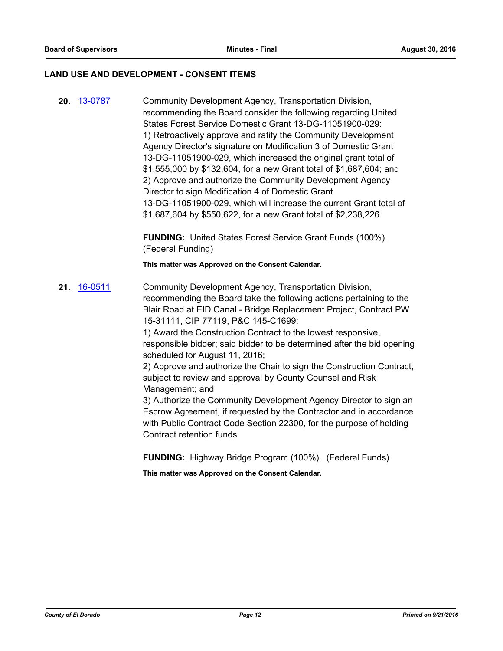#### **LAND USE AND DEVELOPMENT - CONSENT ITEMS**

**20.** [13-0787](http://eldorado.legistar.com/gateway.aspx?m=l&id=/matter.aspx?key=16678) Community Development Agency, Transportation Division, recommending the Board consider the following regarding United States Forest Service Domestic Grant 13-DG-11051900-029: 1) Retroactively approve and ratify the Community Development Agency Director's signature on Modification 3 of Domestic Grant 13-DG-11051900-029, which increased the original grant total of \$1,555,000 by \$132,604, for a new Grant total of \$1,687,604; and 2) Approve and authorize the Community Development Agency Director to sign Modification 4 of Domestic Grant 13-DG-11051900-029, which will increase the current Grant total of \$1,687,604 by \$550,622, for a new Grant total of \$2,238,226.

> **FUNDING:** United States Forest Service Grant Funds (100%). (Federal Funding)

**This matter was Approved on the Consent Calendar.**

**21.** [16-0511](http://eldorado.legistar.com/gateway.aspx?m=l&id=/matter.aspx?key=21169) Community Development Agency, Transportation Division, recommending the Board take the following actions pertaining to the Blair Road at EID Canal - Bridge Replacement Project, Contract PW 15-31111, CIP 77119, P&C 145-C1699: 1) Award the Construction Contract to the lowest responsive,

responsible bidder; said bidder to be determined after the bid opening scheduled for August 11, 2016;

2) Approve and authorize the Chair to sign the Construction Contract, subject to review and approval by County Counsel and Risk Management; and

3) Authorize the Community Development Agency Director to sign an Escrow Agreement, if requested by the Contractor and in accordance with Public Contract Code Section 22300, for the purpose of holding Contract retention funds.

**FUNDING:** Highway Bridge Program (100%). (Federal Funds)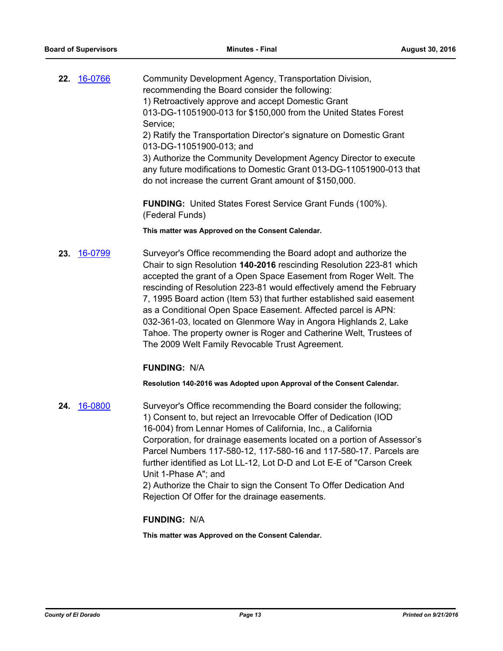|     | 22. 16-0766 | Community Development Agency, Transportation Division,<br>recommending the Board consider the following:<br>1) Retroactively approve and accept Domestic Grant<br>013-DG-11051900-013 for \$150,000 from the United States Forest<br>Service;<br>2) Ratify the Transportation Director's signature on Domestic Grant<br>013-DG-11051900-013; and<br>3) Authorize the Community Development Agency Director to execute<br>any future modifications to Domestic Grant 013-DG-11051900-013 that<br>do not increase the current Grant amount of \$150,000.                                                                     |
|-----|-------------|----------------------------------------------------------------------------------------------------------------------------------------------------------------------------------------------------------------------------------------------------------------------------------------------------------------------------------------------------------------------------------------------------------------------------------------------------------------------------------------------------------------------------------------------------------------------------------------------------------------------------|
|     |             | <b>FUNDING:</b> United States Forest Service Grant Funds (100%).<br>(Federal Funds)                                                                                                                                                                                                                                                                                                                                                                                                                                                                                                                                        |
|     |             | This matter was Approved on the Consent Calendar.                                                                                                                                                                                                                                                                                                                                                                                                                                                                                                                                                                          |
| 23. | 16-0799     | Surveyor's Office recommending the Board adopt and authorize the<br>Chair to sign Resolution 140-2016 rescinding Resolution 223-81 which<br>accepted the grant of a Open Space Easement from Roger Welt. The<br>rescinding of Resolution 223-81 would effectively amend the February<br>7, 1995 Board action (Item 53) that further established said easement<br>as a Conditional Open Space Easement. Affected parcel is APN:<br>032-361-03, located on Glenmore Way in Angora Highlands 2, Lake<br>Tahoe. The property owner is Roger and Catherine Welt, Trustees of<br>The 2009 Welt Family Revocable Trust Agreement. |
|     |             | <b>FUNDING: N/A</b>                                                                                                                                                                                                                                                                                                                                                                                                                                                                                                                                                                                                        |
|     |             | Resolution 140-2016 was Adopted upon Approval of the Consent Calendar.                                                                                                                                                                                                                                                                                                                                                                                                                                                                                                                                                     |

**24.** [16-0800](http://eldorado.legistar.com/gateway.aspx?m=l&id=/matter.aspx?key=21458) Surveyor's Office recommending the Board consider the following; 1) Consent to, but reject an Irrevocable Offer of Dedication (IOD 16-004) from Lennar Homes of California, Inc., a California Corporation, for drainage easements located on a portion of Assessor's Parcel Numbers 117-580-12, 117-580-16 and 117-580-17*.* Parcels are further identified as Lot LL-12, Lot D-D and Lot E-E of "Carson Creek Unit 1-Phase A"; and 2) Authorize the Chair to sign the Consent To Offer Dedication And Rejection Of Offer for the drainage easements.

## **FUNDING:** N/A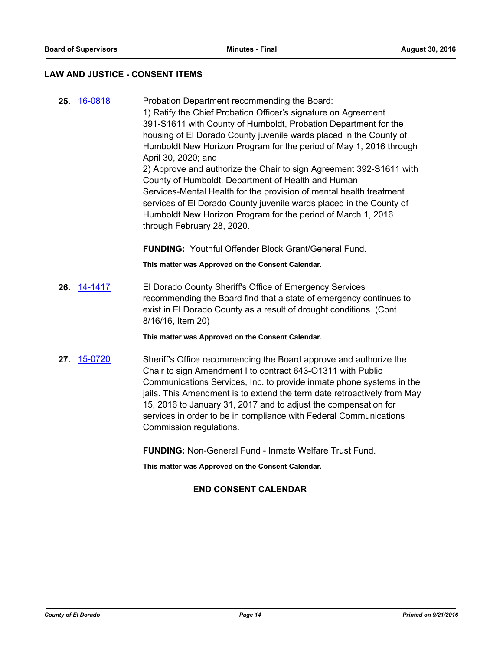## **LAW AND JUSTICE - CONSENT ITEMS**

**25.** [16-0818](http://eldorado.legistar.com/gateway.aspx?m=l&id=/matter.aspx?key=21476) Probation Department recommending the Board: 1) Ratify the Chief Probation Officer's signature on Agreement 391-S1611 with County of Humboldt, Probation Department for the housing of El Dorado County juvenile wards placed in the County of Humboldt New Horizon Program for the period of May 1, 2016 through April 30, 2020; and 2) Approve and authorize the Chair to sign Agreement 392-S1611 with County of Humboldt, Department of Health and Human Services-Mental Health for the provision of mental health treatment services of El Dorado County juvenile wards placed in the County of Humboldt New Horizon Program for the period of March 1, 2016 through February 28, 2020.

**FUNDING:** Youthful Offender Block Grant/General Fund.

**This matter was Approved on the Consent Calendar.**

**26.** [14-1417](http://eldorado.legistar.com/gateway.aspx?m=l&id=/matter.aspx?key=18901) El Dorado County Sheriff's Office of Emergency Services recommending the Board find that a state of emergency continues to exist in El Dorado County as a result of drought conditions. (Cont. 8/16/16, Item 20)

**This matter was Approved on the Consent Calendar.**

**27.** [15-0720](http://eldorado.legistar.com/gateway.aspx?m=l&id=/matter.aspx?key=19894) Sheriff's Office recommending the Board approve and authorize the Chair to sign Amendment I to contract 643-O1311 with Public Communications Services, Inc. to provide inmate phone systems in the jails. This Amendment is to extend the term date retroactively from May 15, 2016 to January 31, 2017 and to adjust the compensation for services in order to be in compliance with Federal Communications Commission regulations.

**FUNDING:** Non-General Fund - Inmate Welfare Trust Fund.

**This matter was Approved on the Consent Calendar.**

## **END CONSENT CALENDAR**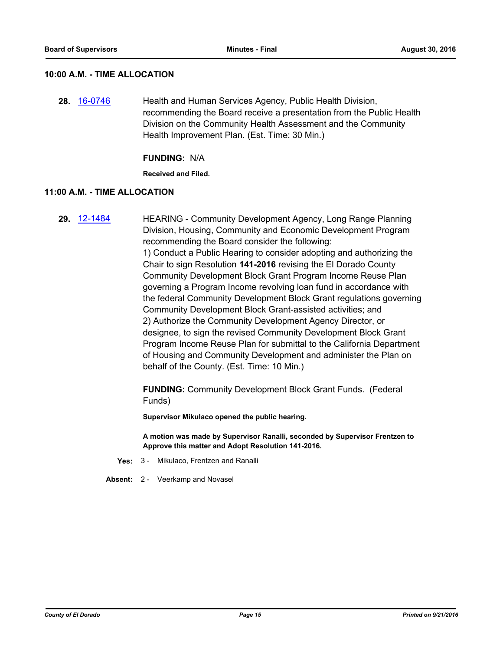## **10:00 A.M. - TIME ALLOCATION**

**28.** [16-0746](http://eldorado.legistar.com/gateway.aspx?m=l&id=/matter.aspx?key=21404) Health and Human Services Agency, Public Health Division, recommending the Board receive a presentation from the Public Health Division on the Community Health Assessment and the Community Health Improvement Plan. (Est. Time: 30 Min.)

#### **FUNDING:** N/A

**Received and Filed.**

## **11:00 A.M. - TIME ALLOCATION**

**29.** [12-1484](http://eldorado.legistar.com/gateway.aspx?m=l&id=/matter.aspx?key=15788) HEARING - Community Development Agency, Long Range Planning Division, Housing, Community and Economic Development Program recommending the Board consider the following: 1) Conduct a Public Hearing to consider adopting and authorizing the Chair to sign Resolution **141-2016** revising the El Dorado County Community Development Block Grant Program Income Reuse Plan governing a Program Income revolving loan fund in accordance with the federal Community Development Block Grant regulations governing Community Development Block Grant-assisted activities; and 2) Authorize the Community Development Agency Director, or designee, to sign the revised Community Development Block Grant Program Income Reuse Plan for submittal to the California Department of Housing and Community Development and administer the Plan on behalf of the County. (Est. Time: 10 Min.)

> **FUNDING:** Community Development Block Grant Funds. (Federal Funds)

**Supervisor Mikulaco opened the public hearing.**

**A motion was made by Supervisor Ranalli, seconded by Supervisor Frentzen to Approve this matter and Adopt Resolution 141-2016.**

- **Yes:** 3 Mikulaco, Frentzen and Ranalli
- **Absent:** 2 Veerkamp and Novasel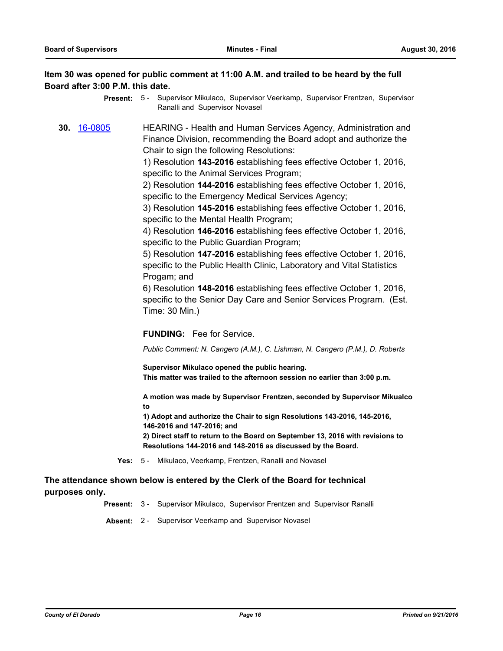## **Item 30 was opened for public comment at 11:00 A.M. and trailed to be heard by the full Board after 3:00 P.M. this date.**

- Present: 5 Supervisor Mikulaco, Supervisor Veerkamp, Supervisor Frentzen, Supervisor Ranalli and Supervisor Novasel
- **30.** [16-0805](http://eldorado.legistar.com/gateway.aspx?m=l&id=/matter.aspx?key=21463) HEARING Health and Human Services Agency, Administration and Finance Division, recommending the Board adopt and authorize the Chair to sign the following Resolutions:

1) Resolution **143-2016** establishing fees effective October 1, 2016, specific to the Animal Services Program;

2) Resolution **144-2016** establishing fees effective October 1, 2016, specific to the Emergency Medical Services Agency;

3) Resolution **145-2016** establishing fees effective October 1, 2016, specific to the Mental Health Program;

4) Resolution **146-2016** establishing fees effective October 1, 2016, specific to the Public Guardian Program;

5) Resolution **147-2016** establishing fees effective October 1, 2016, specific to the Public Health Clinic, Laboratory and Vital Statistics Progam; and

6) Resolution **148-2016** establishing fees effective October 1, 2016, specific to the Senior Day Care and Senior Services Program. (Est. Time: 30 Min.)

**FUNDING:** Fee for Service.

*Public Comment: N. Cangero (A.M.), C. Lishman, N. Cangero (P.M.), D. Roberts*

**Supervisor Mikulaco opened the public hearing. This matter was trailed to the afternoon session no earlier than 3:00 p.m.**

**A motion was made by Supervisor Frentzen, seconded by Supervisor Mikualco to**

**1) Adopt and authorize the Chair to sign Resolutions 143-2016, 145-2016, 146-2016 and 147-2016; and**

**2) Direct staff to return to the Board on September 13, 2016 with revisions to Resolutions 144-2016 and 148-2016 as discussed by the Board.**

**Yes:** 5 - Mikulaco, Veerkamp, Frentzen, Ranalli and Novasel

## **The attendance shown below is entered by the Clerk of the Board for technical purposes only.**

**Present:** 3 - Supervisor Mikulaco, Supervisor Frentzen and Supervisor Ranalli

**Absent:** 2 - Supervisor Veerkamp and Supervisor Novasel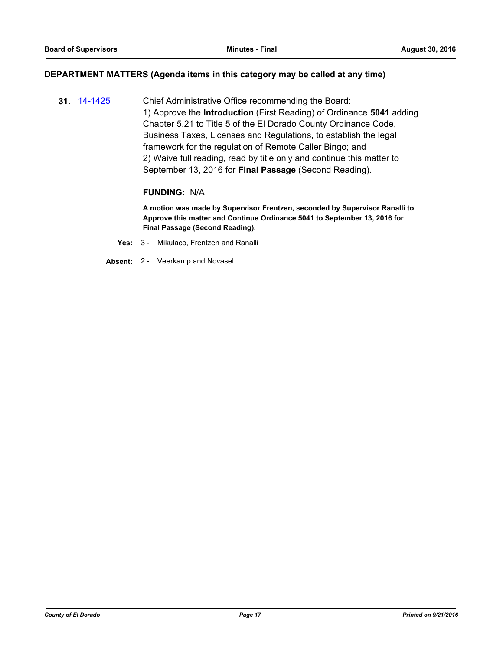#### **DEPARTMENT MATTERS (Agenda items in this category may be called at any time)**

**31.** [14-1425](http://eldorado.legistar.com/gateway.aspx?m=l&id=/matter.aspx?key=18909) Chief Administrative Office recommending the Board: 1) Approve the **Introduction** (First Reading) of Ordinance **5041** adding Chapter 5.21 to Title 5 of the El Dorado County Ordinance Code, Business Taxes, Licenses and Regulations, to establish the legal framework for the regulation of Remote Caller Bingo; and 2) Waive full reading, read by title only and continue this matter to September 13, 2016 for **Final Passage** (Second Reading).

#### **FUNDING:** N/A

**A motion was made by Supervisor Frentzen, seconded by Supervisor Ranalli to Approve this matter and Continue Ordinance 5041 to September 13, 2016 for Final Passage (Second Reading).**

- **Yes:** 3 Mikulaco, Frentzen and Ranalli
- **Absent:** 2 Veerkamp and Novasel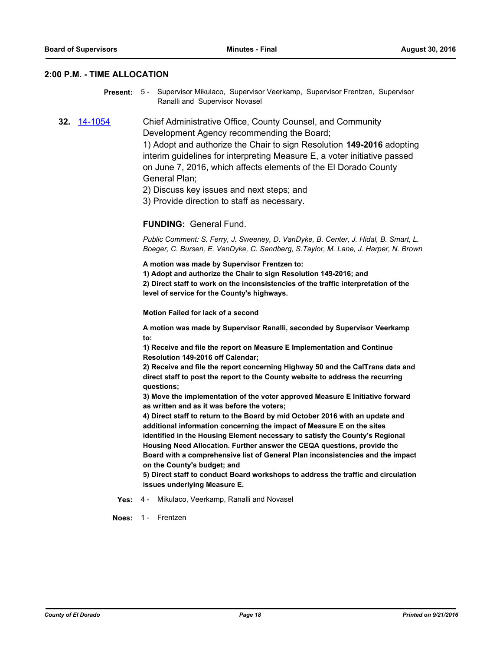#### **2:00 P.M. - TIME ALLOCATION**

Present: 5 - Supervisor Mikulaco, Supervisor Veerkamp, Supervisor Frentzen, Supervisor Ranalli and Supervisor Novasel

**32.** [14-1054](http://eldorado.legistar.com/gateway.aspx?m=l&id=/matter.aspx?key=18539) Chief Administrative Office, County Counsel, and Community Development Agency recommending the Board; 1) Adopt and authorize the Chair to sign Resolution **149-2016** adopting

interim guidelines for interpreting Measure E, a voter initiative passed on June 7, 2016, which affects elements of the El Dorado County General Plan;

2) Discuss key issues and next steps; and

3) Provide direction to staff as necessary.

#### **FUNDING:** General Fund.

*Public Comment: S. Ferry, J. Sweeney, D. VanDyke, B. Center, J. Hidal, B. Smart, L. Boeger, C. Bursen, E. VanDyke, C. Sandberg, S.Taylor, M. Lane, J. Harper, N. Brown*

**A motion was made by Supervisor Frentzen to:**

**1) Adopt and authorize the Chair to sign Resolution 149-2016; and 2) Direct staff to work on the inconsistencies of the traffic interpretation of the level of service for the County's highways.**

**Motion Failed for lack of a second**

**A motion was made by Supervisor Ranalli, seconded by Supervisor Veerkamp to:**

**1) Receive and file the report on Measure E Implementation and Continue Resolution 149-2016 off Calendar;**

**2) Receive and file the report concerning Highway 50 and the CalTrans data and direct staff to post the report to the County website to address the recurring questions;**

**3) Move the implementation of the voter approved Measure E Initiative forward as written and as it was before the voters;**

**4) Direct staff to return to the Board by mid October 2016 with an update and additional information concerning the impact of Measure E on the sites identified in the Housing Element necessary to satisfy the County's Regional Housing Need Allocation. Further answer the CEQA questions, provide the Board with a comprehensive list of General Plan inconsistencies and the impact on the County's budget; and**

**5) Direct staff to conduct Board workshops to address the traffic and circulation issues underlying Measure E.**

**Yes:** 4 - Mikulaco, Veerkamp, Ranalli and Novasel

**Noes:** 1 - Frentzen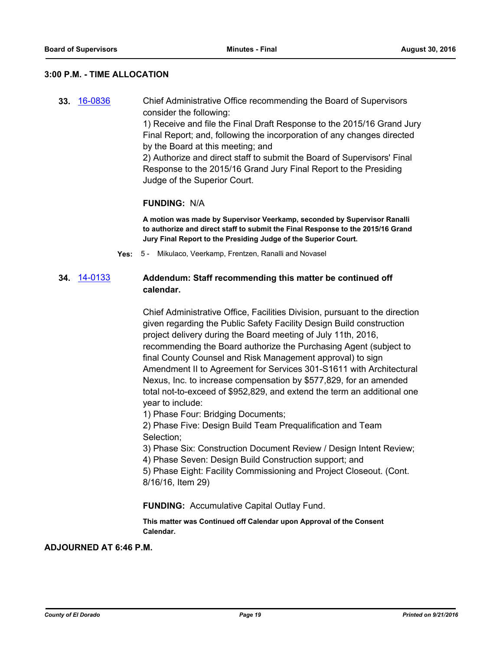### **3:00 P.M. - TIME ALLOCATION**

**33.** [16-0836](http://eldorado.legistar.com/gateway.aspx?m=l&id=/matter.aspx?key=21494) Chief Administrative Office recommending the Board of Supervisors consider the following:

> 1) Receive and file the Final Draft Response to the 2015/16 Grand Jury Final Report; and, following the incorporation of any changes directed by the Board at this meeting; and

2) Authorize and direct staff to submit the Board of Supervisors' Final Response to the 2015/16 Grand Jury Final Report to the Presiding Judge of the Superior Court.

## **FUNDING:** N/A

**A motion was made by Supervisor Veerkamp, seconded by Supervisor Ranalli to authorize and direct staff to submit the Final Response to the 2015/16 Grand Jury Final Report to the Presiding Judge of the Superior Court.**

**Yes:** 5 - Mikulaco, Veerkamp, Frentzen, Ranalli and Novasel

## **34.** [14-0133](http://eldorado.legistar.com/gateway.aspx?m=l&id=/matter.aspx?key=17616) **Addendum: Staff recommending this matter be continued off calendar.**

Chief Administrative Office, Facilities Division, pursuant to the direction given regarding the Public Safety Facility Design Build construction project delivery during the Board meeting of July 11th, 2016, recommending the Board authorize the Purchasing Agent (subject to final County Counsel and Risk Management approval) to sign Amendment II to Agreement for Services 301-S1611 with Architectural Nexus, Inc. to increase compensation by \$577,829, for an amended total not-to-exceed of \$952,829, and extend the term an additional one year to include:

1) Phase Four: Bridging Documents;

2) Phase Five: Design Build Team Prequalification and Team Selection;

3) Phase Six: Construction Document Review / Design Intent Review;

4) Phase Seven: Design Build Construction support; and

5) Phase Eight: Facility Commissioning and Project Closeout. (Cont. 8/16/16, Item 29)

#### **FUNDING:** Accumulative Capital Outlay Fund.

**This matter was Continued off Calendar upon Approval of the Consent Calendar.**

## **ADJOURNED AT 6:46 P.M.**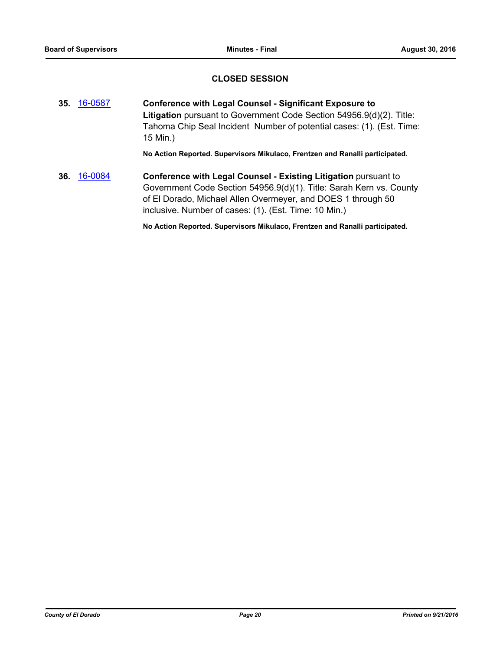## **CLOSED SESSION**

**35.** [16-0587](http://eldorado.legistar.com/gateway.aspx?m=l&id=/matter.aspx?key=21245) **Conference with Legal Counsel - Significant Exposure to Litigation** pursuant to Government Code Section 54956.9(d)(2). Title: Tahoma Chip Seal Incident Number of potential cases: (1). (Est. Time: 15 Min.)

**No Action Reported. Supervisors Mikulaco, Frentzen and Ranalli participated.**

**36.** [16-0084](http://eldorado.legistar.com/gateway.aspx?m=l&id=/matter.aspx?key=20741) **Conference with Legal Counsel - Existing Litigation** pursuant to Government Code Section 54956.9(d)(1). Title: Sarah Kern vs. County of El Dorado, Michael Allen Overmeyer, and DOES 1 through 50 inclusive. Number of cases: (1). (Est. Time: 10 Min.)

**No Action Reported. Supervisors Mikulaco, Frentzen and Ranalli participated.**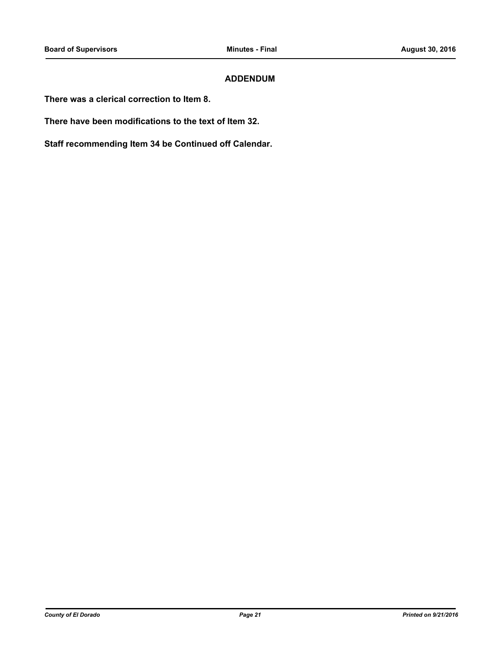## **ADDENDUM**

**There was a clerical correction to Item 8.**

**There have been modifications to the text of Item 32.**

**Staff recommending Item 34 be Continued off Calendar.**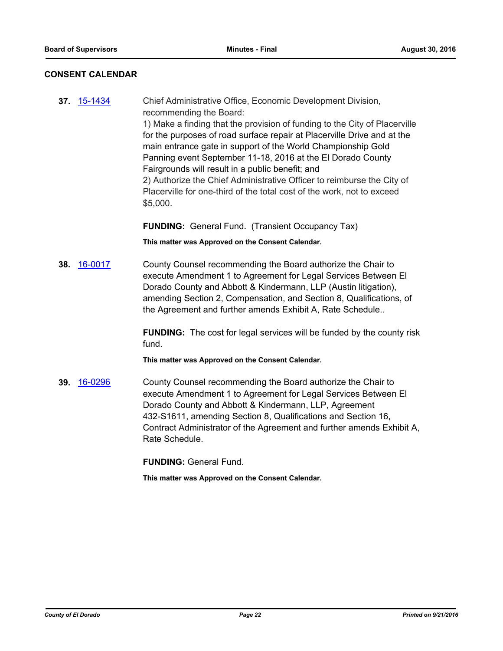## **CONSENT CALENDAR**

**37.** [15-1434](http://eldorado.legistar.com/gateway.aspx?m=l&id=/matter.aspx?key=20612) Chief Administrative Office, Economic Development Division, recommending the Board: 1) Make a finding that the provision of funding to the City of Placerville for the purposes of road surface repair at Placerville Drive and at the main entrance gate in support of the World Championship Gold Panning event September 11-18, 2016 at the El Dorado County Fairgrounds will result in a public benefit; and 2) Authorize the Chief Administrative Officer to reimburse the City of Placerville for one-third of the total cost of the work, not to exceed \$5,000.

## **FUNDING:** General Fund. (Transient Occupancy Tax)

**This matter was Approved on the Consent Calendar.**

**38.** [16-0017](http://eldorado.legistar.com/gateway.aspx?m=l&id=/matter.aspx?key=20673) County Counsel recommending the Board authorize the Chair to execute Amendment 1 to Agreement for Legal Services Between El Dorado County and Abbott & Kindermann, LLP (Austin litigation), amending Section 2, Compensation, and Section 8, Qualifications, of the Agreement and further amends Exhibit A, Rate Schedule..

> **FUNDING:** The cost for legal services will be funded by the county risk fund.

**This matter was Approved on the Consent Calendar.**

**39.** [16-0296](http://eldorado.legistar.com/gateway.aspx?m=l&id=/matter.aspx?key=20952) County Counsel recommending the Board authorize the Chair to execute Amendment 1 to Agreement for Legal Services Between El Dorado County and Abbott & Kindermann, LLP, Agreement 432-S1611, amending Section 8, Qualifications and Section 16, Contract Administrator of the Agreement and further amends Exhibit A, Rate Schedule.

**FUNDING:** General Fund.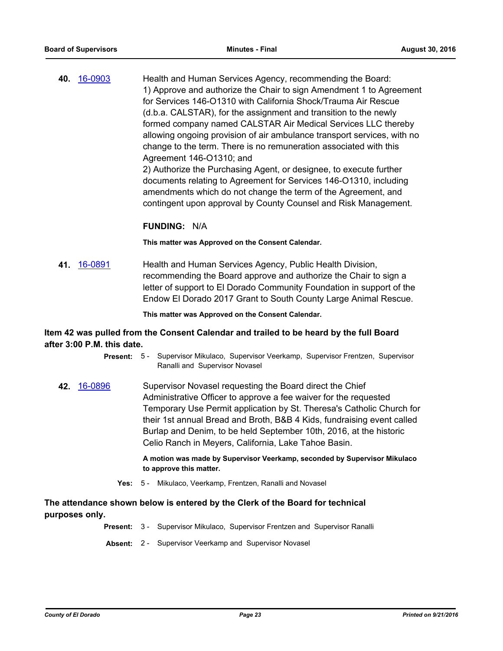**40.** [16-0903](http://eldorado.legistar.com/gateway.aspx?m=l&id=/matter.aspx?key=21561) Health and Human Services Agency, recommending the Board: 1) Approve and authorize the Chair to sign Amendment 1 to Agreement for Services 146-O1310 with California Shock/Trauma Air Rescue (d.b.a. CALSTAR), for the assignment and transition to the newly formed company named CALSTAR Air Medical Services LLC thereby allowing ongoing provision of air ambulance transport services, with no change to the term. There is no remuneration associated with this Agreement 146-O1310; and

2) Authorize the Purchasing Agent, or designee, to execute further documents relating to Agreement for Services 146-O1310, including amendments which do not change the term of the Agreement, and contingent upon approval by County Counsel and Risk Management.

## **FUNDING:** N/A

**This matter was Approved on the Consent Calendar.**

**41.** [16-0891](http://eldorado.legistar.com/gateway.aspx?m=l&id=/matter.aspx?key=21549) Health and Human Services Agency, Public Health Division, recommending the Board approve and authorize the Chair to sign a letter of support to El Dorado Community Foundation in support of the Endow El Dorado 2017 Grant to South County Large Animal Rescue.

**This matter was Approved on the Consent Calendar.**

## **Item 42 was pulled from the Consent Calendar and trailed to be heard by the full Board after 3:00 P.M. this date.**

- Supervisor Mikulaco, Supervisor Veerkamp, Supervisor Frentzen, Supervisor Ranalli and Supervisor Novasel **Present:** 5 -
- **42.** [16-0896](http://eldorado.legistar.com/gateway.aspx?m=l&id=/matter.aspx?key=21554) Supervisor Novasel requesting the Board direct the Chief Administrative Officer to approve a fee waiver for the requested Temporary Use Permit application by St. Theresa's Catholic Church for their 1st annual Bread and Broth, B&B 4 Kids, fundraising event called Burlap and Denim, to be held September 10th, 2016, at the historic Celio Ranch in Meyers, California, Lake Tahoe Basin.

**A motion was made by Supervisor Veerkamp, seconded by Supervisor Mikulaco to approve this matter.**

**Yes:** 5 - Mikulaco, Veerkamp, Frentzen, Ranalli and Novasel

## **The attendance shown below is entered by the Clerk of the Board for technical purposes only.**

- **Present:** 3 Supervisor Mikulaco, Supervisor Frentzen and Supervisor Ranalli
- **Absent:** 2 Supervisor Veerkamp and Supervisor Novasel